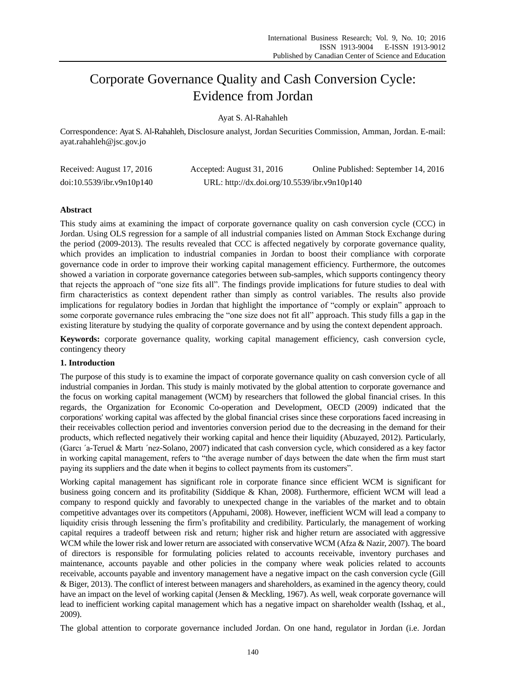# Corporate Governance Quality and Cash Conversion Cycle: Evidence from Jordan

Ayat S. Al-Rahahleh

Correspondence: Ayat S. Al-Rahahleh, Disclosure analyst, Jordan Securities Commission, Amman, Jordan. E-mail: ayat.rahahleh@jsc.gov.jo

| Received: August 17, 2016 | Accepted: August 31, 2016                    | Online Published: September 14, 2016 |
|---------------------------|----------------------------------------------|--------------------------------------|
| doi:10.5539/ibr.v9n10p140 | URL: http://dx.doi.org/10.5539/ibr.v9n10p140 |                                      |

# **Abstract**

This study aims at examining the impact of corporate governance quality on cash conversion cycle (CCC) in Jordan. Using OLS regression for a sample of all industrial companies listed on Amman Stock Exchange during the period (2009-2013). The results revealed that CCC is affected negatively by corporate governance quality, which provides an implication to industrial companies in Jordan to boost their compliance with corporate governance code in order to improve their working capital management efficiency. Furthermore, the outcomes showed a variation in corporate governance categories between sub-samples, which supports contingency theory that rejects the approach of "one size fits all". The findings provide implications for future studies to deal with firm characteristics as context dependent rather than simply as control variables. The results also provide implications for regulatory bodies in Jordan that highlight the importance of "comply or explain" approach to some corporate governance rules embracing the "one size does not fit all" approach. This study fills a gap in the existing literature by studying the quality of corporate governance and by using the context dependent approach.

**Keywords:** corporate governance quality, working capital management efficiency, cash conversion cycle, contingency theory

# **1. Introduction**

The purpose of this study is to examine the impact of corporate governance quality on cash conversion cycle of all industrial companies in Jordan. This study is mainly motivated by the global attention to corporate governance and the focus on working capital management (WCM) by researchers that followed the global financial crises. In this regards, the Organization for Economic Co-operation and Development, OECD (2009) indicated that the corporations' working capital was affected by the global financial crises since these corporations faced increasing in their receivables collection period and inventories conversion period due to the decreasing in the demand for their products, which reflected negatively their working capital and hence their liquidity (Abuzayed, 2012). Particularly, (Garcı ´a-Teruel & Martı ´nez-Solano, 2007) indicated that cash conversion cycle, which considered as a key factor in working capital management, refers to "the average number of days between the date when the firm must start paying its suppliers and the date when it begins to collect payments from its customers".

Working capital management has significant role in corporate finance since efficient WCM is significant for business going concern and its profitability (Siddique & Khan, 2008). Furthermore, efficient WCM will lead a company to respond quickly and favorably to unexpected change in the variables of the market and to obtain competitive advantages over its competitors (Appuhami, 2008). However, inefficient WCM will lead a company to liquidity crisis through lessening the firm's profitability and credibility. Particularly, the management of working capital requires a tradeoff between risk and return; higher risk and higher return are associated with aggressive WCM while the lower risk and lower return are associated with conservative WCM (Afza & Nazir, 2007). The board of directors is responsible for formulating policies related to accounts receivable, inventory purchases and maintenance, accounts payable and other policies in the company where weak policies related to accounts receivable, accounts payable and inventory management have a negative impact on the cash conversion cycle (Gill & Biger, 2013). The conflict of interest between managers and shareholders, as examined in the agency theory, could have an impact on the level of working capital (Jensen & Meckling, 1967). As well, weak corporate governance will lead to inefficient working capital management which has a negative impact on shareholder wealth (Isshaq, et al., 2009).

The global attention to corporate governance included Jordan. On one hand, regulator in Jordan (i.e. Jordan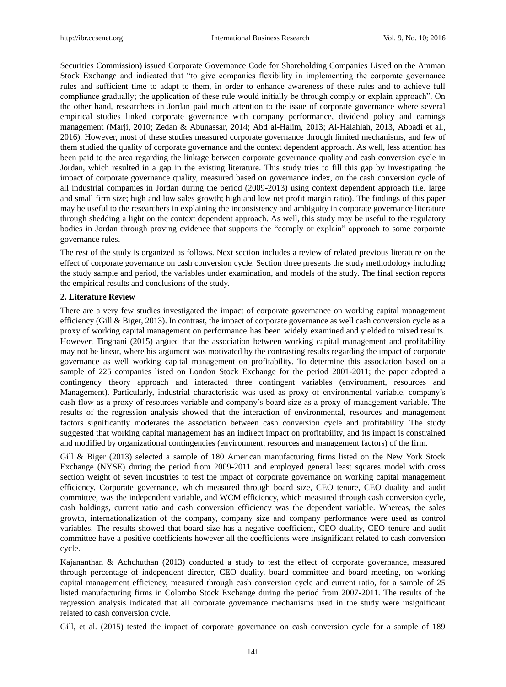Securities Commission) issued Corporate Governance Code for Shareholding Companies Listed on the Amman Stock Exchange and indicated that "to give companies flexibility in implementing the corporate governance rules and sufficient time to adapt to them, in order to enhance awareness of these rules and to achieve full compliance gradually; the application of these rule would initially be through comply or explain approach". On the other hand, researchers in Jordan paid much attention to the issue of corporate governance where several empirical studies linked corporate governance with company performance, dividend policy and earnings management (Marji, 2010; Zedan & Abunassar, 2014; Abd al-Halim, 2013; Al-Halahlah, 2013, Abbadi et al., 2016). However, most of these studies measured corporate governance through limited mechanisms, and few of them studied the quality of corporate governance and the context dependent approach. As well, less attention has been paid to the area regarding the linkage between corporate governance quality and cash conversion cycle in Jordan, which resulted in a gap in the existing literature. This study tries to fill this gap by investigating the impact of corporate governance quality, measured based on governance index, on the cash conversion cycle of all industrial companies in Jordan during the period (2009-2013) using context dependent approach (i.e. large and small firm size; high and low sales growth; high and low net profit margin ratio). The findings of this paper may be useful to the researchers in explaining the inconsistency and ambiguity in corporate governance literature through shedding a light on the context dependent approach. As well, this study may be useful to the regulatory bodies in Jordan through proving evidence that supports the "comply or explain" approach to some corporate governance rules.

The rest of the study is organized as follows. Next section includes a review of related previous literature on the effect of corporate governance on cash conversion cycle. Section three presents the study methodology including the study sample and period, the variables under examination, and models of the study. The final section reports the empirical results and conclusions of the study.

#### **2. Literature Review**

There are a very few studies investigated the impact of corporate governance on working capital management efficiency (Gill & Biger, 2013). In contrast, the impact of corporate governance as well cash conversion cycle as a proxy of working capital management on performance has been widely examined and yielded to mixed results. However, Tingbani (2015) argued that the association between working capital management and profitability may not be linear, where his argument was motivated by the contrasting results regarding the impact of corporate governance as well working capital management on profitability. To determine this association based on a sample of 225 companies listed on London Stock Exchange for the period 2001-2011; the paper adopted a contingency theory approach and interacted three contingent variables (environment, resources and Management). Particularly, industrial characteristic was used as proxy of environmental variable, company's cash flow as a proxy of resources variable and company's board size as a proxy of management variable. The results of the regression analysis showed that the interaction of environmental, resources and management factors significantly moderates the association between cash conversion cycle and profitability. The study suggested that working capital management has an indirect impact on profitability, and its impact is constrained and modified by organizational contingencies (environment, resources and management factors) of the firm.

Gill & Biger (2013) selected a sample of 180 American manufacturing firms listed on the New York Stock Exchange (NYSE) during the period from 2009-2011 and employed general least squares model with cross section weight of seven industries to test the impact of corporate governance on working capital management efficiency. Corporate governance, which measured through board size, CEO tenure, CEO duality and audit committee, was the independent variable, and WCM efficiency, which measured through cash conversion cycle, cash holdings, current ratio and cash conversion efficiency was the dependent variable. Whereas, the sales growth, internationalization of the company, company size and company performance were used as control variables. The results showed that board size has a negative coefficient, CEO duality, CEO tenure and audit committee have a positive coefficients however all the coefficients were insignificant related to cash conversion cycle.

Kajananthan & Achchuthan (2013) conducted a study to test the effect of corporate governance, measured through percentage of independent director, CEO duality, board committee and board meeting, on working capital management efficiency, measured through cash conversion cycle and current ratio, for a sample of 25 listed manufacturing firms in Colombo Stock Exchange during the period from 2007-2011. The results of the regression analysis indicated that all corporate governance mechanisms used in the study were insignificant related to cash conversion cycle.

Gill, et al. (2015) tested the impact of corporate governance on cash conversion cycle for a sample of 189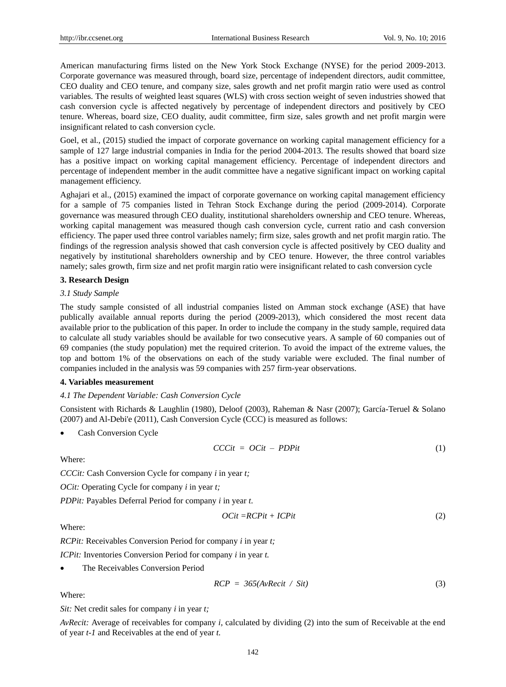American manufacturing firms listed on the New York Stock Exchange (NYSE) for the period 2009-2013. Corporate governance was measured through, board size, percentage of independent directors, audit committee, CEO duality and CEO tenure, and company size, sales growth and net profit margin ratio were used as control variables. The results of weighted least squares (WLS) with cross section weight of seven industries showed that cash conversion cycle is affected negatively by percentage of independent directors and positively by CEO tenure. Whereas, board size, CEO duality, audit committee, firm size, sales growth and net profit margin were insignificant related to cash conversion cycle.

Goel, et al., (2015) studied the impact of corporate governance on working capital management efficiency for a sample of 127 large industrial companies in India for the period 2004-2013. The results showed that board size has a positive impact on working capital management efficiency. Percentage of independent directors and percentage of independent member in the audit committee have a negative significant impact on working capital management efficiency.

Aghajari et al., (2015) examined the impact of corporate governance on working capital management efficiency for a sample of 75 companies listed in Tehran Stock Exchange during the period (2009-2014). Corporate governance was measured through CEO duality, institutional shareholders ownership and CEO tenure. Whereas, working capital management was measured though cash conversion cycle, current ratio and cash conversion efficiency. The paper used three control variables namely; firm size, sales growth and net profit margin ratio. The findings of the regression analysis showed that cash conversion cycle is affected positively by CEO duality and negatively by institutional shareholders ownership and by CEO tenure. However, the three control variables namely; sales growth, firm size and net profit margin ratio were insignificant related to cash conversion cycle

# **3. Research Design**

## *3.1 Study Sample*

The study sample consisted of all industrial companies listed on Amman stock exchange (ASE) that have publically available annual reports during the period (2009-2013), which considered the most recent data available prior to the publication of this paper. In order to include the company in the study sample, required data to calculate all study variables should be available for two consecutive years. A sample of 60 companies out of 69 companies (the study population) met the required criterion. To avoid the impact of the extreme values, the top and bottom 1% of the observations on each of the study variable were excluded. The final number of companies included in the analysis was 59 companies with 257 firm-year observations.

#### **4. Variables measurement**

## *4.1 The Dependent Variable: Cash Conversion Cycle*

Consistent with Richards & Laughlin (1980), Deloof (2003), Raheman & Nasr (2007); García-Teruel & Solano (2007) and Al-Debi'e (2011), Cash Conversion Cycle (CCC) is measured as follows:

Cash Conversion Cycle

$$
CCCit = OCit - PDPit \tag{1}
$$

Where:

*CCCit:* Cash Conversion Cycle for company *i* in year *t;*

*OCit:* Operating Cycle for company *i* in year *t;*

*PDPit:* Payables Deferral Period for company *i* in year *t*.

$$
OCit = RCPit + ICPit \tag{2}
$$

Where:

*RCPit:* Receivables Conversion Period for company *i* in year *t;*

*ICPit:* Inventories Conversion Period for company *i* in year *t.*

The Receivables Conversion Period

$$
RCP = 365(AvRecit / Sit)
$$
 (3)

Where:

*Sit:* Net credit sales for company *i* in year *t;*

*AvRecit:* Average of receivables for company *i*, calculated by dividing (2) into the sum of Receivable at the end of year *t-1* and Receivables at the end of year *t.*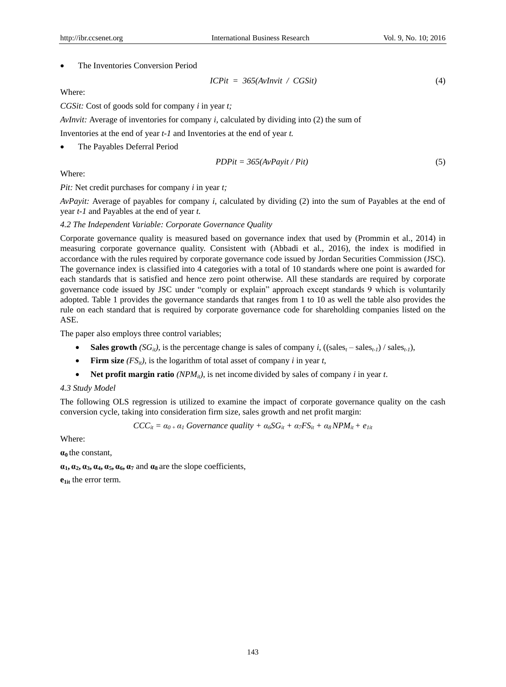## The Inventories Conversion Period

$$
ICPit = 365(AvInvit / CGSit)
$$
\n(4)

Where:

*CGSit:* Cost of goods sold for company *i* in year *t;*

*AvInvit:* Average of inventories for company *i,* calculated by dividing into (2) the sum of

Inventories at the end of year *t-1* and Inventories at the end of year *t.*

The Payables Deferral Period

$$
PDPit = 365(AvPayit / Pit)
$$
\n(5)

Where:

*Pit:* Net credit purchases for company *i* in year *t;*

*AvPayit:* Average of payables for company *i*, calculated by dividing (2) into the sum of Payables at the end of year *t-1* and Payables at the end of year *t.*

# *4.2 The Independent Variable: Corporate Governance Quality*

Corporate governance quality is measured based on governance index that used by (Prommin et al., 2014) in measuring corporate governance quality. Consistent with (Abbadi et al., 2016), the index is modified in accordance with the rules required by corporate governance code issued by Jordan Securities Commission (JSC). The governance index is classified into 4 categories with a total of 10 standards where one point is awarded for each standards that is satisfied and hence zero point otherwise. All these standards are required by corporate governance code issued by JSC under "comply or explain" approach except standards 9 which is voluntarily adopted. Table 1 provides the governance standards that ranges from 1 to 10 as well the table also provides the rule on each standard that is required by corporate governance code for shareholding companies listed on the ASE.

The paper also employs three control variables;

- Sales growth  $(SG_{it})$ , is the percentage change is sales of company *i*, ((sales<sub>*t*</sub> sales<sub>*t-1*</sub>)</sub> / sales<sub>*t-1*</sub>),
- Firm size  $(FS_i)$ , is the logarithm of total asset of company *i* in year *t*,
- **Net profit margin ratio**  $(NPM_{it})$ , is net income divided by sales of company *i* in year *t*.

# *4.3 Study Model*

The following OLS regression is utilized to examine the impact of corporate governance quality on the cash conversion cycle, taking into consideration firm size, sales growth and net profit margin:

$$
CCC_{it} = \alpha_{0+} \alpha_{1} \text{ Government of quality} + \alpha_{6} SG_{it} + \alpha_{7} FS_{it} + \alpha_{8} NPM_{it} + e_{lit}
$$

Where:

**α0** the constant,

 $\alpha_1, \alpha_2, \alpha_3, \alpha_4, \alpha_5, \alpha_6, \alpha_7$  and  $\alpha_8$  are the slope coefficients,

**e**<sub>1it</sub> the error term.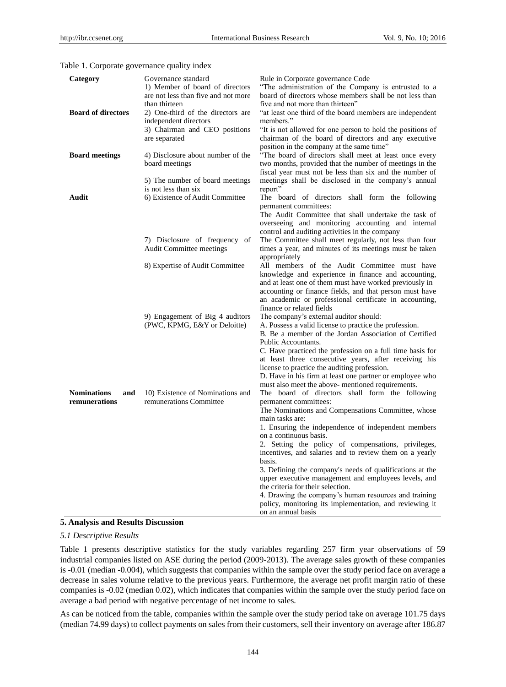#### Table 1. Corporate governance quality index

| Category                  | Governance standard                                     | Rule in Corporate governance Code                                                                |
|---------------------------|---------------------------------------------------------|--------------------------------------------------------------------------------------------------|
|                           | 1) Member of board of directors                         | "The administration of the Company is entrusted to a                                             |
|                           | are not less than five and not more                     | board of directors whose members shall be not less than                                          |
|                           | than thirteen                                           | five and not more than thirteen"                                                                 |
| <b>Board of directors</b> | 2) One-third of the directors are                       | "at least one third of the board members are independent                                         |
|                           | independent directors                                   | members."                                                                                        |
|                           | 3) Chairman and CEO positions                           | "It is not allowed for one person to hold the positions of                                       |
|                           | are separated                                           | chairman of the board of directors and any executive                                             |
|                           |                                                         | position in the company at the same time"                                                        |
| <b>Board meetings</b>     | 4) Disclosure about number of the                       | "The board of directors shall meet at least once every                                           |
|                           | board meetings                                          | two months, provided that the number of meetings in the                                          |
|                           |                                                         | fiscal year must not be less than six and the number of                                          |
|                           | 5) The number of board meetings<br>is not less than six | meetings shall be disclosed in the company's annual<br>report"                                   |
| Audit                     | 6) Existence of Audit Committee                         | The board of directors shall form the following                                                  |
|                           |                                                         | permanent committees:                                                                            |
|                           |                                                         | The Audit Committee that shall undertake the task of                                             |
|                           |                                                         | overseeing and monitoring accounting and internal                                                |
|                           |                                                         | control and auditing activities in the company                                                   |
|                           | 7) Disclosure of frequency of                           | The Committee shall meet regularly, not less than four                                           |
|                           | Audit Committee meetings                                | times a year, and minutes of its meetings must be taken                                          |
|                           |                                                         | appropriately                                                                                    |
|                           | 8) Expertise of Audit Committee                         | All members of the Audit Committee must have                                                     |
|                           |                                                         | knowledge and experience in finance and accounting,                                              |
|                           |                                                         | and at least one of them must have worked previously in                                          |
|                           |                                                         | accounting or finance fields, and that person must have                                          |
|                           |                                                         | an academic or professional certificate in accounting,                                           |
|                           | 9) Engagement of Big 4 auditors                         | finance or related fields                                                                        |
|                           | (PWC, KPMG, E&Y or Deloitte)                            | The company's external auditor should:<br>A. Possess a valid license to practice the profession. |
|                           |                                                         | B. Be a member of the Jordan Association of Certified                                            |
|                           |                                                         | Public Accountants.                                                                              |
|                           |                                                         | C. Have practiced the profession on a full time basis for                                        |
|                           |                                                         | at least three consecutive years, after receiving his                                            |
|                           |                                                         | license to practice the auditing profession.                                                     |
|                           |                                                         | D. Have in his firm at least one partner or employee who                                         |
|                           |                                                         | must also meet the above-mentioned requirements.                                                 |
| <b>Nominations</b><br>and | 10) Existence of Nominations and                        | The board of directors shall form the following                                                  |
| remunerations             | remunerations Committee                                 | permanent committees:                                                                            |
|                           |                                                         | The Nominations and Compensations Committee, whose                                               |
|                           |                                                         | main tasks are:<br>1. Ensuring the independence of independent members                           |
|                           |                                                         | on a continuous basis.                                                                           |
|                           |                                                         | 2. Setting the policy of compensations, privileges,                                              |
|                           |                                                         | incentives, and salaries and to review them on a yearly                                          |
|                           |                                                         | basis.                                                                                           |
|                           |                                                         | 3. Defining the company's needs of qualifications at the                                         |
|                           |                                                         | upper executive management and employees levels, and                                             |
|                           |                                                         | the criteria for their selection.                                                                |
|                           |                                                         | 4. Drawing the company's human resources and training                                            |
|                           |                                                         | policy, monitoring its implementation, and reviewing it                                          |
|                           |                                                         | on an annual basis                                                                               |

# **5. Analysis and Results Discussion**

#### *5.1 Descriptive Results*

Table 1 presents descriptive statistics for the study variables regarding 257 firm year observations of 59 industrial companies listed on ASE during the period (2009-2013). The average sales growth of these companies is -0.01 (median -0.004), which suggests that companies within the sample over the study period face on average a decrease in sales volume relative to the previous years. Furthermore, the average net profit margin ratio of these companies is -0.02 (median 0.02), which indicates that companies within the sample over the study period face on average a bad period with negative percentage of net income to sales.

As can be noticed from the table, companies within the sample over the study period take on average 101.75 days (median 74.99 days) to collect payments on sales from their customers, sell their inventory on average after 186.87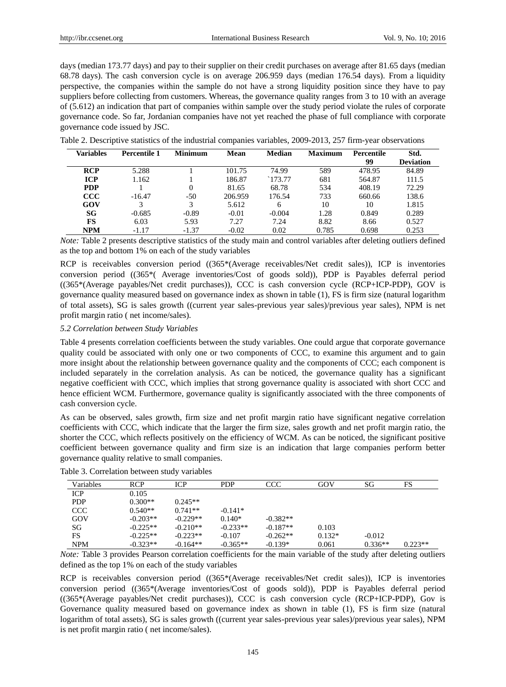days (median 173.77 days) and pay to their supplier on their credit purchases on average after 81.65 days (median 68.78 days). The cash conversion cycle is on average 206.959 days (median 176.54 days). From a liquidity perspective, the companies within the sample do not have a strong liquidity position since they have to pay suppliers before collecting from customers. Whereas, the governance quality ranges from 3 to 10 with an average of (5.612) an indication that part of companies within sample over the study period violate the rules of corporate governance code. So far, Jordanian companies have not yet reached the phase of full compliance with corporate governance code issued by JSC.

| Variables  | <b>Percentile 1</b> | <b>Minimum</b> | Mean    | <b>Median</b> | <b>Maximum</b> | <b>Percentile</b> | Std.             |
|------------|---------------------|----------------|---------|---------------|----------------|-------------------|------------------|
|            |                     |                |         |               |                | 99                | <b>Deviation</b> |
| <b>RCP</b> | 5.288               |                | 101.75  | 74.99         | 589            | 478.95            | 84.89            |
| <b>ICP</b> | 1.162               |                | 186.87  | `173.77       | 681            | 564.87            | 111.5            |
| <b>PDP</b> |                     |                | 81.65   | 68.78         | 534            | 408.19            | 72.29            |
| $\rm{ccc}$ | $-16.47$            | $-50$          | 206.959 | 176.54        | 733            | 660.66            | 138.6            |
| GOV        |                     |                | 5.612   | 6             | 10             | 10                | 1.815            |
| SG         | $-0.685$            | $-0.89$        | $-0.01$ | $-0.004$      | 1.28           | 0.849             | 0.289            |
| FS         | 6.03                | 5.93           | 7.27    | 7.24          | 8.82           | 8.66              | 0.527            |
| <b>NPM</b> | $-1.17$             | $-1.37$        | $-0.02$ | 0.02          | 0.785          | 0.698             | 0.253            |

Table 2. Descriptive statistics of the industrial companies variables, 2009-2013, 257 firm-year observations

*Note:* Table 2 presents descriptive statistics of the study main and control variables after deleting outliers defined as the top and bottom 1% on each of the study variables

RCP is receivables conversion period ((365\*(Average receivables/Net credit sales)), ICP is inventories conversion period ((365\*( Average inventories/Cost of goods sold)), PDP is Payables deferral period ((365\*(Average payables/Net credit purchases)), CCC is cash conversion cycle (RCP+ICP-PDP), GOV is governance quality measured based on governance index as shown in table (1), FS is firm size (natural logarithm of total assets), SG is sales growth ((current year sales-previous year sales)/previous year sales), NPM is net profit margin ratio ( net income/sales).

#### *5.2 Correlation between Study Variables*

Table 4 presents correlation coefficients between the study variables. One could argue that corporate governance quality could be associated with only one or two components of CCC, to examine this argument and to gain more insight about the relationship between governance quality and the components of CCC; each component is included separately in the correlation analysis. As can be noticed, the governance quality has a significant negative coefficient with CCC, which implies that strong governance quality is associated with short CCC and hence efficient WCM. Furthermore, governance quality is significantly associated with the three components of cash conversion cycle.

As can be observed, sales growth, firm size and net profit margin ratio have significant negative correlation coefficients with CCC, which indicate that the larger the firm size, sales growth and net profit margin ratio, the shorter the CCC, which reflects positively on the efficiency of WCM. As can be noticed, the significant positive coefficient between governance quality and firm size is an indication that large companies perform better governance quality relative to small companies.

| Variables  | <b>RCP</b> | <b>ICP</b> | <b>PDP</b> | <b>CCC</b> | GOV      | SG.       | FS        |
|------------|------------|------------|------------|------------|----------|-----------|-----------|
| <b>ICP</b> | 0.105      |            |            |            |          |           |           |
| <b>PDP</b> | $0.300**$  | $0.245**$  |            |            |          |           |           |
| <b>CCC</b> | $0.540**$  | $0.741**$  | $-0.141*$  |            |          |           |           |
| GOV        | $-0.203**$ | $-0.229**$ | $0.140*$   | $-0.382**$ |          |           |           |
| SG         | $-0.225**$ | $-0.210**$ | $-0.233**$ | $-0.187**$ | 0.103    |           |           |
| FS         | $-0.225**$ | $-0.223**$ | $-0.107$   | $-0.262**$ | $0.132*$ | $-0.012$  |           |
| <b>NPM</b> | $-0.323**$ | $-0.164**$ | $-0.365**$ | $-0.139*$  | 0.061    | $0.336**$ | $0.223**$ |

Table 3. Correlation between study variables

*Note:* Table 3 provides Pearson correlation coefficients for the main variable of the study after deleting outliers defined as the top 1% on each of the study variables

RCP is receivables conversion period ((365\*(Average receivables/Net credit sales)), ICP is inventories conversion period ((365\*(Average inventories/Cost of goods sold)), PDP is Payables deferral period ((365\*(Average payables/Net credit purchases)), CCC is cash conversion cycle (RCP+ICP-PDP), Gov is Governance quality measured based on governance index as shown in table (1), FS is firm size (natural logarithm of total assets), SG is sales growth ((current year sales-previous year sales)/previous year sales), NPM is net profit margin ratio ( net income/sales).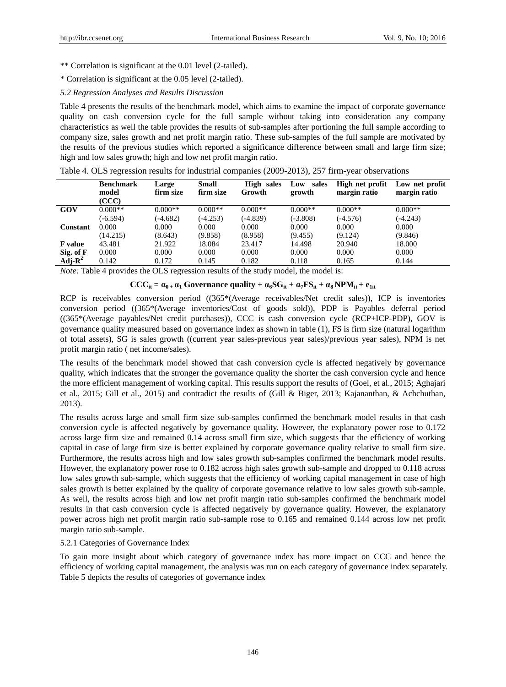\*\* Correlation is significant at the 0.01 level (2-tailed).

\* Correlation is significant at the 0.05 level (2-tailed).

*5.2 Regression Analyses and Results Discussion*

Table 4 presents the results of the benchmark model, which aims to examine the impact of corporate governance quality on cash conversion cycle for the full sample without taking into consideration any company characteristics as well the table provides the results of sub-samples after portioning the full sample according to company size, sales growth and net profit margin ratio. These sub-samples of the full sample are motivated by the results of the previous studies which reported a significance difference between small and large firm size; high and low sales growth; high and low net profit margin ratio.

|                     | <b>Benchmark</b><br>model<br>(CCC) | Large<br>firm size | <b>Small</b><br>firm size | High sales<br>Growth | sales<br>Low<br>growth | High net profit<br>margin ratio | Low net profit<br>margin ratio |
|---------------------|------------------------------------|--------------------|---------------------------|----------------------|------------------------|---------------------------------|--------------------------------|
| GOV                 | $0.000**$                          | $0.000**$          | $0.000**$                 | $0.000**$            | $0.000**$              | $0.000**$                       | $0.000**$                      |
|                     | $(-6.594)$                         | $(-4.682)$         | $(-4.253)$                | $(-4.839)$           | $(-3.808)$             | $(-4.576)$                      | $(-4.243)$                     |
| <b>Constant</b>     | 0.000                              | 0.000              | 0.000                     | 0.000                | 0.000                  | 0.000                           | 0.000                          |
|                     | (14.215)                           | (8.643)            | (9.858)                   | (8.958)              | (9.455)                | (9.124)                         | (9.846)                        |
| <b>F</b> value      | 43.481                             | 21.922             | 18.084                    | 23.417               | 14.498                 | 20.940                          | 18.000                         |
| Sig. of F           | 0.000                              | 0.000              | 0.000                     | 0.000                | 0.000                  | 0.000                           | 0.000                          |
| Adj- $\mathbf{R}^2$ | 0.142                              | 0.172              | 0.145                     | 0.182                | 0.118                  | 0.165                           | 0.144                          |

Table 4. OLS regression results for industrial companies (2009-2013), 257 firm-year observations

*Note:* Table 4 provides the OLS regression results of the study model, the model is:

# $CCC_{it} = \alpha_0 + \alpha_1$  Governance quality +  $\alpha_6SG_{it} + \alpha_7FS_{it} + \alpha_8 NPM_{it} + e_{1it}$

RCP is receivables conversion period ((365\*(Average receivables/Net credit sales)), ICP is inventories conversion period ((365\*(Average inventories/Cost of goods sold)), PDP is Payables deferral period ((365\*(Average payables/Net credit purchases)), CCC is cash conversion cycle (RCP+ICP-PDP), GOV is governance quality measured based on governance index as shown in table (1), FS is firm size (natural logarithm of total assets), SG is sales growth ((current year sales-previous year sales)/previous year sales), NPM is net profit margin ratio ( net income/sales).

The results of the benchmark model showed that cash conversion cycle is affected negatively by governance quality, which indicates that the stronger the governance quality the shorter the cash conversion cycle and hence the more efficient management of working capital. This results support the results of (Goel, et al., 2015; Aghajari et al., 2015; Gill et al., 2015) and contradict the results of (Gill & Biger, 2013; Kajananthan, & Achchuthan, 2013).

The results across large and small firm size sub-samples confirmed the benchmark model results in that cash conversion cycle is affected negatively by governance quality. However, the explanatory power rose to 0.172 across large firm size and remained 0.14 across small firm size, which suggests that the efficiency of working capital in case of large firm size is better explained by corporate governance quality relative to small firm size. Furthermore, the results across high and low sales growth sub-samples confirmed the benchmark model results. However, the explanatory power rose to 0.182 across high sales growth sub-sample and dropped to 0.118 across low sales growth sub-sample, which suggests that the efficiency of working capital management in case of high sales growth is better explained by the quality of corporate governance relative to low sales growth sub-sample. As well, the results across high and low net profit margin ratio sub-samples confirmed the benchmark model results in that cash conversion cycle is affected negatively by governance quality. However, the explanatory power across high net profit margin ratio sub-sample rose to 0.165 and remained 0.144 across low net profit margin ratio sub-sample.

#### 5.2.1 Categories of Governance Index

To gain more insight about which category of governance index has more impact on CCC and hence the efficiency of working capital management, the analysis was run on each category of governance index separately. Table 5 depicts the results of categories of governance index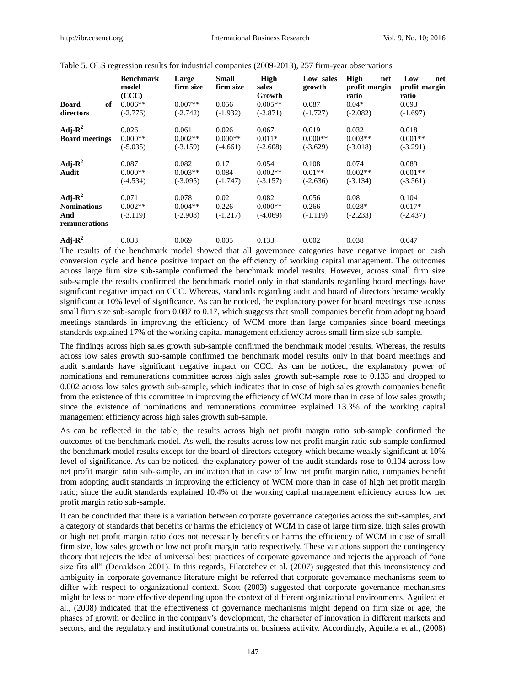|                                                                   | <b>Benchmark</b><br>model<br>(CCC) | Large<br>firm size               | Small<br>firm size               | High<br>sales<br>Growth          | Low sales<br>growth              | <b>High</b><br>net<br>profit margin<br>ratio | Low<br>net<br>profit margin<br>ratio |
|-------------------------------------------------------------------|------------------------------------|----------------------------------|----------------------------------|----------------------------------|----------------------------------|----------------------------------------------|--------------------------------------|
| of<br><b>Board</b>                                                | $0.006**$                          | $0.007**$                        | 0.056                            | $0.005**$                        | 0.087                            | $0.04*$                                      | 0.093                                |
| directors                                                         | $(-2.776)$                         | $(-2.742)$                       | $(-1.932)$                       | $(-2.871)$                       | $(-1.727)$                       | $(-2.082)$                                   | $(-1.697)$                           |
| Adj- $\mathbf{R}^2$<br><b>Board meetings</b>                      | 0.026<br>$0.000**$<br>$(-5.035)$   | 0.061<br>$0.002**$<br>$(-3.159)$ | 0.026<br>$0.000**$<br>$(-4.661)$ | 0.067<br>$0.011*$<br>$(-2.608)$  | 0.019<br>$0.000**$<br>$(-3.629)$ | 0.032<br>$0.003**$<br>$(-3.018)$             | 0.018<br>$0.001**$<br>$(-3.291)$     |
| Adj- $\mathbf{R}^2$<br>Audit                                      | 0.087<br>$0.000**$<br>$(-4.534)$   | 0.082<br>$0.003**$<br>$(-3.095)$ | 0.17<br>0.084<br>$(-1.747)$      | 0.054<br>$0.002**$<br>$(-3.157)$ | 0.108<br>$0.01**$<br>$(-2.636)$  | 0.074<br>$0.002**$<br>$(-3.134)$             | 0.089<br>$0.001**$<br>$(-3.561)$     |
| Adj- $\mathbf{R}^2$<br><b>Nominations</b><br>And<br>remunerations | 0.071<br>$0.002**$<br>$(-3.119)$   | 0.078<br>$0.004**$<br>$(-2.908)$ | 0.02<br>0.226<br>$(-1.217)$      | 0.082<br>$0.000**$<br>$(-4.069)$ | 0.056<br>0.266<br>$(-1.119)$     | 0.08<br>$0.028*$<br>$(-2.233)$               | 0.104<br>$0.017*$<br>$(-2.437)$      |
| Adj- $R^2$                                                        | 0.033                              | 0.069                            | 0.005                            | 0.133                            | 0.002                            | 0.038                                        | 0.047                                |

Table 5. OLS regression results for industrial companies (2009-2013), 257 firm-year observations

The results of the benchmark model showed that all governance categories have negative impact on cash conversion cycle and hence positive impact on the efficiency of working capital management. The outcomes across large firm size sub-sample confirmed the benchmark model results. However, across small firm size sub-sample the results confirmed the benchmark model only in that standards regarding board meetings have significant negative impact on CCC. Whereas, standards regarding audit and board of directors became weakly significant at 10% level of significance. As can be noticed, the explanatory power for board meetings rose across small firm size sub-sample from 0.087 to 0.17, which suggests that small companies benefit from adopting board meetings standards in improving the efficiency of WCM more than large companies since board meetings standards explained 17% of the working capital management efficiency across small firm size sub-sample.

The findings across high sales growth sub-sample confirmed the benchmark model results. Whereas, the results across low sales growth sub-sample confirmed the benchmark model results only in that board meetings and audit standards have significant negative impact on CCC. As can be noticed, the explanatory power of nominations and remunerations committee across high sales growth sub-sample rose to 0.133 and dropped to 0.002 across low sales growth sub-sample, which indicates that in case of high sales growth companies benefit from the existence of this committee in improving the efficiency of WCM more than in case of low sales growth; since the existence of nominations and remunerations committee explained 13.3% of the working capital management efficiency across high sales growth sub-sample.

As can be reflected in the table, the results across high net profit margin ratio sub-sample confirmed the outcomes of the benchmark model. As well, the results across low net profit margin ratio sub-sample confirmed the benchmark model results except for the board of directors category which became weakly significant at 10% level of significance. As can be noticed, the explanatory power of the audit standards rose to 0.104 across low net profit margin ratio sub-sample, an indication that in case of low net profit margin ratio, companies benefit from adopting audit standards in improving the efficiency of WCM more than in case of high net profit margin ratio; since the audit standards explained 10.4% of the working capital management efficiency across low net profit margin ratio sub-sample.

It can be concluded that there is a variation between corporate governance categories across the sub-samples, and a category of standards that benefits or harms the efficiency of WCM in case of large firm size, high sales growth or high net profit margin ratio does not necessarily benefits or harms the efficiency of WCM in case of small firm size, low sales growth or low net profit margin ratio respectively. These variations support the contingency theory that rejects the idea of universal best practices of corporate governance and rejects the approach of "one size fits all" (Donaldson 2001). In this regards, Filatotchev et al. (2007) suggested that this inconsistency and ambiguity in corporate governance literature might be referred that corporate governance mechanisms seem to differ with respect to organizational context. Scott (2003) suggested that corporate governance mechanisms might be less or more effective depending upon the context of different organizational environments. Aguilera et al., (2008) indicated that the effectiveness of governance mechanisms might depend on firm size or age, the phases of growth or decline in the company's development, the character of innovation in different markets and sectors, and the regulatory and institutional constraints on business activity. Accordingly, Aguilera et al., (2008)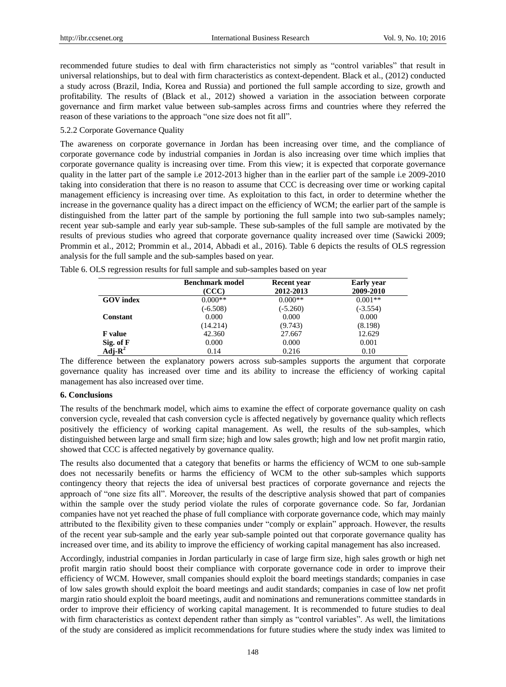recommended future studies to deal with firm characteristics not simply as "control variables" that result in universal relationships, but to deal with firm characteristics as context-dependent. Black et al., (2012) conducted a study across (Brazil, India, Korea and Russia) and portioned the full sample according to size, growth and profitability. The results of (Black et al., 2012) showed a variation in the association between corporate governance and firm market value between sub-samples across firms and countries where they referred the reason of these variations to the approach "one size does not fit all".

## 5.2.2 Corporate Governance Quality

The awareness on corporate governance in Jordan has been increasing over time, and the compliance of corporate governance code by industrial companies in Jordan is also increasing over time which implies that corporate governance quality is increasing over time. From this view; it is expected that corporate governance quality in the latter part of the sample i.e 2012-2013 higher than in the earlier part of the sample i.e 2009-2010 taking into consideration that there is no reason to assume that CCC is decreasing over time or working capital management efficiency is increasing over time. As exploitation to this fact, in order to determine whether the increase in the governance quality has a direct impact on the efficiency of WCM; the earlier part of the sample is distinguished from the latter part of the sample by portioning the full sample into two sub-samples namely; recent year sub-sample and early year sub-sample. These sub-samples of the full sample are motivated by the results of previous studies who agreed that corporate governance quality increased over time (Sawicki 2009; Prommin et al., 2012; Prommin et al., 2014, Abbadi et al., 2016). Table 6 depicts the results of OLS regression analysis for the full sample and the sub-samples based on year.

|                     | <b>Benchmark model</b><br>(CCC) | Recent year<br>2012-2013 | <b>Early year</b><br>2009-2010 |
|---------------------|---------------------------------|--------------------------|--------------------------------|
| <b>GOV</b> index    | $0.000**$                       | $0.000**$                | $0.001**$                      |
|                     | $(-6.508)$                      | $(-5.260)$               | $(-3.554)$                     |
| Constant            | 0.000                           | 0.000                    | 0.000                          |
|                     | (14.214)                        | (9.743)                  | (8.198)                        |
| <b>F</b> value      | 42.360                          | 27.667                   | 12.629                         |
| Sig. of F           | 0.000                           | 0.000                    | 0.001                          |
| $A\bar{d}$ j- $R^2$ | 0.14                            | 0.216                    | 0.10                           |

Table 6. OLS regression results for full sample and sub-samples based on year

The difference between the explanatory powers across sub-samples supports the argument that corporate governance quality has increased over time and its ability to increase the efficiency of working capital management has also increased over time.

## **6. Conclusions**

The results of the benchmark model, which aims to examine the effect of corporate governance quality on cash conversion cycle, revealed that cash conversion cycle is affected negatively by governance quality which reflects positively the efficiency of working capital management. As well, the results of the sub-samples, which distinguished between large and small firm size; high and low sales growth; high and low net profit margin ratio, showed that CCC is affected negatively by governance quality.

The results also documented that a category that benefits or harms the efficiency of WCM to one sub-sample does not necessarily benefits or harms the efficiency of WCM to the other sub-samples which supports contingency theory that rejects the idea of universal best practices of corporate governance and rejects the approach of "one size fits all". Moreover, the results of the descriptive analysis showed that part of companies within the sample over the study period violate the rules of corporate governance code. So far, Jordanian companies have not yet reached the phase of full compliance with corporate governance code, which may mainly attributed to the flexibility given to these companies under "comply or explain" approach. However, the results of the recent year sub-sample and the early year sub-sample pointed out that corporate governance quality has increased over time, and its ability to improve the efficiency of working capital management has also increased.

Accordingly, industrial companies in Jordan particularly in case of large firm size, high sales growth or high net profit margin ratio should boost their compliance with corporate governance code in order to improve their efficiency of WCM. However, small companies should exploit the board meetings standards; companies in case of low sales growth should exploit the board meetings and audit standards; companies in case of low net profit margin ratio should exploit the board meetings, audit and nominations and remunerations committee standards in order to improve their efficiency of working capital management. It is recommended to future studies to deal with firm characteristics as context dependent rather than simply as "control variables". As well, the limitations of the study are considered as implicit recommendations for future studies where the study index was limited to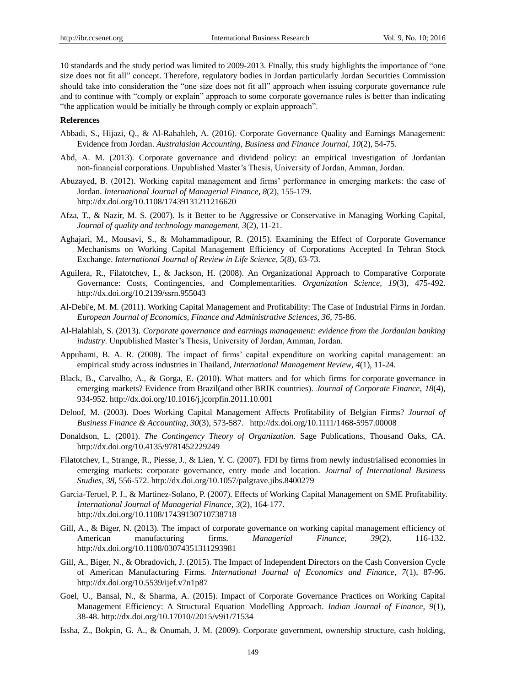10 standards and the study period was limited to 2009-2013. Finally, this study highlights the importance of "one size does not fit all" concept. Therefore, regulatory bodies in Jordan particularly Jordan Securities Commission should take into consideration the "one size does not fit all" approach when issuing corporate governance rule and to continue with "comply or explain" approach to some corporate governance rules is better than indicating "the application would be initially be through comply or explain approach".

## **References**

- Abbadi, S., Hijazi, Q., & Al-Rahahleh, A. (2016). Corporate Governance Quality and Earnings Management: Evidence from Jordan. *Australasian Accounting, Business and Finance Journal, 10*(2), 54-75.
- Abd, A. M. (2013). Corporate governance and dividend policy: an empirical investigation of Jordanian non-financial corporations. Unpublished Master's Thesis, University of Jordan, Amman, Jordan.
- Abuzayed, B. (2012). Working capital management and firms' performance in emerging markets: the case of Jordan. *International Journal of Managerial Finance, 8*(2), 155-179. http://dx.doi.org/10.1108/17439131211216620
- Afza, T., & Nazir, M. S. (2007). Is it Better to be Aggressive or Conservative in Managing Working Capital, *Journal of quality and technology management, 3*(2), 11-21.
- Aghajari, M., Mousavi, S., & Mohammadipour, R. (2015). Examining the Effect of Corporate Governance Mechanisms on Working Capital Management Efficiency of Corporations Accepted In Tehran Stock Exchange. *International Journal of Review in Life Science, 5*(8), 63-73.
- Aguilera, R., Filatotchev, I., & Jackson, H. (2008). An Organizational Approach to Comparative Corporate Governance: Costs, Contingencies, and Complementarities. *Organization Science, 19*(3), 475-492. <http://dx.doi.org/10.2139/ssrn.955043>
- Al-Debi'e, M. M. (2011). Working Capital Management and Profitability: The Case of Industrial Firms in Jordan. *European Journal of Economics, Finance and Administrative Sciences, 36, 75-86.*
- Al-Halahlah, S. (2013). *Corporate governance and earnings management: evidence from the Jordanian banking industry*. Unpublished Master's Thesis, University of Jordan, Amman, Jordan.
- Appuhami, B. A. R. (2008). The impact of firms' capital expenditure on working capital management: an empirical study across industries in Thailand, *International Management Review, 4*(1), 11-24.
- Black, B., Carvalho, A., & Gorga, E. (2010). What matters and for which firms for corporate governance in emerging markets? Evidence from Brazil(and other BRIK countries). *Journal of Corporate Finance, 18*(4), 934-952.<http://dx.doi.org/10.1016/j.jcorpfin.2011.10.001>
- Deloof, M. (2003). Does Working Capital Management Affects Profitability of Belgian Firms? *Journal of Business Finance & Accounting, 30*(3), 573-587. <http://dx.doi.org/10.1111/1468-5957.00008>
- Donaldson, L. (2001). *The Contingency Theory of Organization*. Sage Publications, Thousand Oaks, CA. <http://dx.doi.org/10.4135/9781452229249>
- Filatotchev, I., Strange, R., Piesse, J., & Lien, Y. C. (2007). FDI by firms from newly industrialised economies in emerging markets: corporate governance, entry mode and location. *Journal of International Business Studies, 38,* 556-572. http://dx.doi.org/10.1057/palgrave.jibs.8400279
- Garcia-Teruel, P. J., & Martinez-Solano, P. (2007). Effects of Working Capital Management on SME Profitability. *International Journal of Managerial Finance, 3*(2), 164-177. <http://dx.doi.org/10.1108/17439130710738718>
- Gill, A., & Biger, N. (2013). The impact of corporate governance on working capital management efficiency of American manufacturing firms. *Managerial Finance, 39*(2), 116-132. <http://dx.doi.org/10.1108/03074351311293981>
- Gill, A., Biger, N., & Obradovich, J. (2015). The Impact of Independent Directors on the Cash Conversion Cycle of American Manufacturing Firms. *International Journal of Economics and Finance, 7*(1), 87-96. <http://dx.doi.org/10.5539/ijef.v7n1p87>
- Goel, U., Bansal, N., & Sharma, A. (2015). Impact of Corporate Governance Practices on Working Capital Management Efficiency: A Structural Equation Modelling Approach. *Indian Journal of Finance, 9*(1), 38-48. http://dx.doi.org/10.17010//2015/v9i1/71534
- Issha, Z., Bokpin, G. A., & Onumah, J. M. (2009). Corporate government, ownership structure, cash holding,